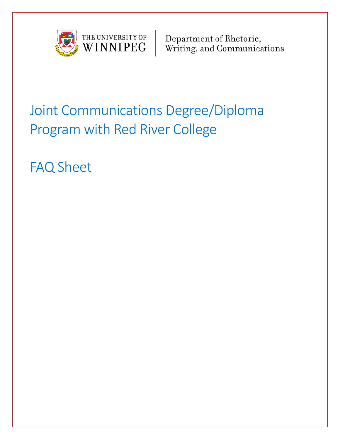

Department of Rhetoric,<br>Writing, and Communications

# Joint Communications Degree/Diploma Program with Red River College

FAQ Sheet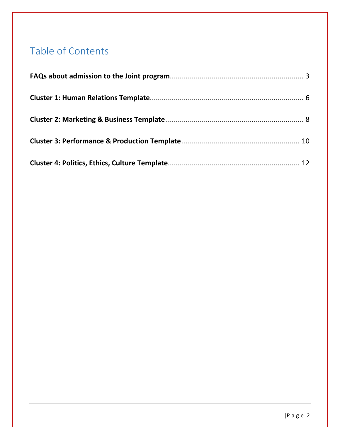# Table of Contents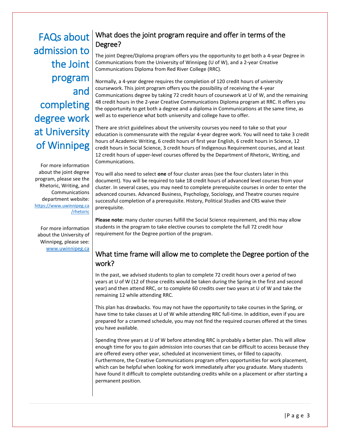<span id="page-2-0"></span>FAQs about admission to the Joint program and completing degree work at University of Winnipeg

For more information about the joint degree program, please see the Rhetoric, Writing, and Communications department website: [https://www.uwinnipeg.ca](https://www.uwinnipeg.ca/rhetoric) [/rhetoric](https://www.uwinnipeg.ca/rhetoric)

For more information about the University of Winnipeg, please see: [www.uwinnipeg.ca](http://www.uwinnipeg.ca/)

# What does the joint program require and offer in terms of the Degree?

The joint Degree/Diploma program offers you the opportunity to get both a 4-year Degree in Communications from the University of Winnipeg (U of W), and a 2-year Creative Communications Diploma from Red River College (RRC).

Normally, a 4-year degree requires the completion of 120 credit hours of university coursework. This joint program offers you the possibility of receiving the 4-year Communications degree by taking 72 credit hours of coursework at U of W, and the remaining 48 credit hours in the 2-year Creative Communications Diploma program at RRC. It offers you the opportunity to get both a degree and a diploma in Communications at the same time, as well as to experience what both university and college have to offer.

There are strict guidelines about the university courses you need to take so that your education is commensurate with the regular 4-year degree work. You will need to take 3 credit hours of Academic Writing, 6 credit hours of first year English, 6 credit hours in Science, 12 credit hours in Social Science, 3 credit hours of Indigenous Requirement courses, and at least 12 credit hours of upper-level courses offered by the Department of Rhetoric, Writing, and Communications.

You will also need to select **one** of four cluster areas (see the four clusters later in this document). You will be required to take 18 credit hours of advanced level courses from your cluster. In several cases, you may need to complete prerequisite courses in order to enter the advanced courses. Advanced Business, Psychology, Sociology, and Theatre courses require successful completion of a prerequisite. History, Political Studies and CRS waive their prerequisite.

**Please note:** many cluster courses fulfill the Social Science requirement, and this may allow students in the program to take elective courses to complete the full 72 credit hour requirement for the Degree portion of the program.

# What time frame will allow me to complete the Degree portion of the work?

In the past, we advised students to plan to complete 72 credit hours over a period of two years at U of W (12 of those credits would be taken during the Spring in the first and second year) and then attend RRC, or to complete 60 credits over two years at U of W and take the remaining 12 while attending RRC.

This plan has drawbacks. You may not have the opportunity to take courses in the Spring, or have time to take classes at U of W while attending RRC full-time. In addition, even if you are prepared for a crammed schedule, you may not find the required courses offered at the times you have available.

Spending three years at U of W before attending RRC is probably a better plan. This will allow enough time for you to gain admission into courses that can be difficult to access because they are offered every other year, scheduled at inconvenient times, or filled to capacity. Furthermore, the Creative Communications program offers opportunities for work placement, which can be helpful when looking for work immediately after you graduate. Many students have found it difficult to complete outstanding credits while on a placement or after starting a permanent position.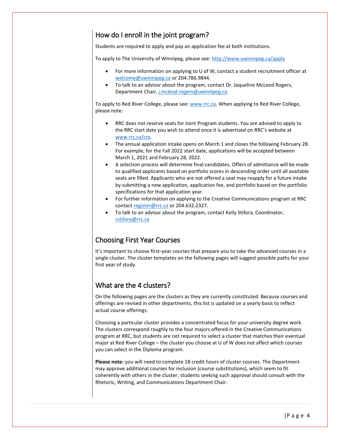# How do I enroll in the joint program?

Students are required to apply and pay an application fee at both institutions.

To apply to The University of Winnipeg, please see:<http://www.uwinnipeg.ca/apply>

- For more information on applying to U of W, contact a student recruitment officer at [welcome@uwinnipeg.ca](mailto:welcome@uwinnipeg.ca) or 204.786.9844.
- To talk to an advisor about the program, contact Dr. Jaqueline McLeod Rogers, Department Chair, [j.mcleod-rogers@uwinnipeg.ca](mailto:j.mcleod-rogers@uwinnipeg.ca)

To apply to Red River College, please see: [www.rrc.ca.](http://www.rrc.ca/) When applying to Red River College, please note:

- RRC does not reserve seats for Joint Program students. You are advised to apply to the RRC start date you wish to attend once it is advertised on RRC's website at [www.rrc.ca/cre.](http://www.rrc.ca/cre)
- The annual application intake opens on March 1 and closes the following February 28. For example, for the Fall 2022 start date, applications will be accepted between March 1, 2021 and February 28, 2022.
- A selection process will determine final candidates. Offers of admittance will be made to qualified applicants based on portfolio scores in descending order until all available seats are filled. Applicants who are not offered a seat may reapply for a future intake by submitting a new application, application fee, and portfolio based on the portfolio specifications for that application year.
- For further information on applying to the Creative Communications program at RRC contac[t register@rrc.ca](mailto:register@rrc.ca) or 204.632.2327.
- To talk to an advisor about the program, contact Kelly Stifora, Coordinator, [rstifora@rrc.ca](mailto:rstifora@rrc.ca)

# Choosing First Year Courses

It's important to choose first-year courses that prepare you to take the advanced courses in a single cluster. The cluster templates on the following pages will suggest possible paths for your first year of study.

# What are the 4 clusters?

On the following pages are the clusters as they are currently constituted. Because courses and offerings are revised in other departments, this list is updated on a yearly basis to reflect actual course offerings.

Choosing a particular cluster provides a concentrated focus for your university degree work. The clusters correspond roughly to the four majors offered in the Creative Communications program at RRC, but students are not required to select a cluster that matches their eventual major at Red River College – the cluster you choose at U of W does not affect which courses you can select in the Diploma program.

**Please note:** you will need to complete 18 credit hours of cluster courses. The Department may approve additional courses for inclusion (course substitutions), which seem to fit coherently with others in the cluster; students seeking such approval should consult with the Rhetoric, Writing, and Communications Department Chair.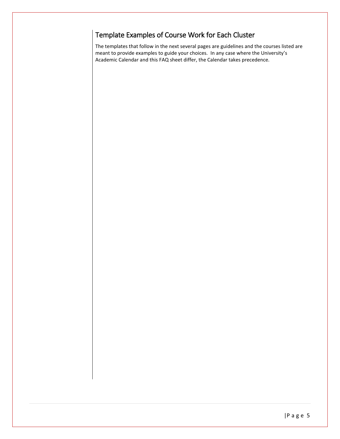# Template Examples of Course Work for Each Cluster

The templates that follow in the next several pages are guidelines and the courses listed are meant to provide examples to guide your choices. In any case where the University's Academic Calendar and this FAQ sheet differ, the Calendar takes precedence.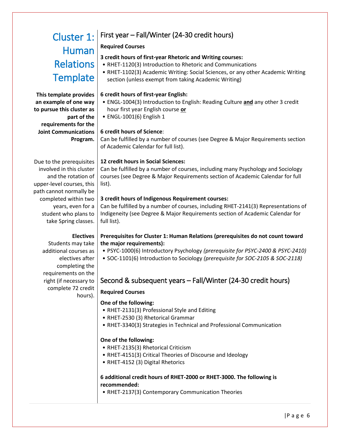# <span id="page-5-0"></span>Human **Relations Template**

#### **This template provides an example of one way to pursue this cluster as part of the requirements for the Joint Communications Program.**

Due to the prerequisites involved in this cluster and the rotation of upper-level courses, this path cannot normally be completed within two years, even for a student who plans to take Spring classes.

# Cluster 1: First year – Fall/Winter (24-30 credit hours)

### **Required Courses**

# **3 credit hours of first-year Rhetoric and Writing courses:**

- RHET-1120(3) Introduction to Rhetoric and Communications
- RHET-1102(3) Academic Writing: Social Sciences, or any other Academic Writing section (unless exempt from taking Academic Writing)

### **6 credit hours of first-year English:**

- ENGL-1004(3) Introduction to English: Reading Culture **and** any other 3 credit hour first year English course **or**
- ENGL-1001(6) English 1

# **6 credit hours of Science**:

Can be fulfilled by a number of courses (see Degree & Major Requirements section of Academic Calendar for full list).

### **12 credit hours in Social Sciences:**

Can be fulfilled by a number of courses, including many Psychology and Sociology courses (see Degree & Major Requirements section of Academic Calendar for full list).

### **3 credit hours of Indigenous Requirement courses:**

Can be fulfilled by a number of courses, including RHET-2141(3) Representations of Indigeneity (see Degree & Major Requirements section of Academic Calendar for full list).

### **Prerequisites for Cluster 1: Human Relations (prerequisites do not count toward the major requirements):**

- PSYC-1000(6) Introductory Psychology *(prerequisite for PSYC-2400 & PSYC-2410)*
- SOC-1101(6) Introduction to Sociology *(prerequisite for SOC-2105 & SOC-2118)*

# Second & subsequent years – Fall/Winter (24-30 credit hours)

# **Required Courses**

# **One of the following:**

- RHET-2131(3) Professional Style and Editing
- RHET-2530 (3) Rhetorical Grammar
- RHET-3340(3) Strategies in Technical and Professional Communication

# **One of the following:**

- RHET-2135(3) Rhetorical Criticism
- RHET-4151(3) Critical Theories of Discourse and Ideology
- RHET-4152 (3) Digital Rhetorics

#### **6 additional credit hours of RHET-2000 or RHET-3000. The following is recommended:**

• RHET-2137(3) Contemporary Communication Theories

**Electives**  Students may take additional courses as electives after completing the requirements on the right (if necessary to complete 72 credit hours).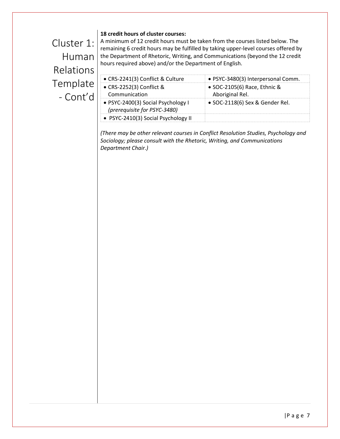#### **18 credit hours of cluster courses:**

Cluster 1: Human Relations Template - Cont'd

A minimum of 12 credit hours must be taken from the courses listed below. The remaining 6 credit hours may be fulfilled by taking upper-level courses offered by the Department of Rhetoric, Writing, and Communications (beyond the 12 credit hours required above) and/or the Department of English.

| • CRS-2241(3) Conflict & Culture                                   | · PSYC-3480(3) Interpersonal Comm.                      |
|--------------------------------------------------------------------|---------------------------------------------------------|
| • CRS-2252(3) Conflict &<br>Communication                          | $\bullet$ SOC-2105(6) Race, Ethnic &<br>Aboriginal Rel. |
| • PSYC-2400(3) Social Psychology I<br>(prerequisite for PSYC-3480) | • SOC-2118(6) Sex & Gender Rel.                         |
| • PSYC-2410(3) Social Psychology II                                |                                                         |

*(There may be other relevant courses in Conflict Resolution Studies, Psychology and Sociology; please consult with the Rhetoric, Writing, and Communications Department Chair.)*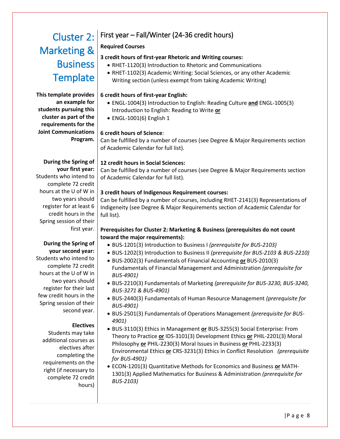# <span id="page-7-0"></span>Marketing & **Business Template**

**This template provides an example for students pursuing this cluster as part of the requirements for the Joint Communications Program.**

#### **During the Spring of your first year:** Students who intend to complete 72 credit hours at the U of W in two years should register for at least 6 credit hours in the Spring session of their first year.

#### **During the Spring of your second year:**  Students who intend to complete 72 credit hours at the U of W in two years should register for their last few credit hours in the Spring session of their

#### **Electives**

second year.

Students may take additional courses as electives after completing the requirements on the right (if necessary to complete 72 credit hours)

# Cluster 2: First year – Fall/Winter (24-36 credit hours)

#### **Required Courses**

#### **3 credit hours of first-year Rhetoric and Writing courses:**

- RHET-1120(3) Introduction to Rhetoric and Communications
- RHET-1102(3) Academic Writing: Social Sciences, or any other Academic Writing section (unless exempt from taking Academic Writing)

#### **6 credit hours of first-year English:**

- ENGL-1004(3) Introduction to English: Reading Culture **and** ENGL-1005(3) Introduction to English: Reading to Write **or**
- ENGL-1001(6) English 1

#### **6 credit hours of Science**:

Can be fulfilled by a number of courses (see Degree & Major Requirements section of Academic Calendar for full list).

#### **12 credit hours in Social Sciences:**

Can be fulfilled by a number of courses (see Degree & Major Requirements section of Academic Calendar for full list).

#### **3 credit hours of Indigenous Requirement courses:**

Can be fulfilled by a number of courses, including RHET-2141(3) Representations of Indigeneity (see Degree & Major Requirements section of Academic Calendar for full list).

#### **Prerequisites for Cluster 2: Marketing & Business (prerequisites do not count toward the major requirements):**

- BUS-1201(3) Introduction to Business I *(prerequisite for BUS-2103)*
- BUS-1202(3) Introduction to Business II *(prerequisite for BUS-2103 & BUS-2210)*
- BUS-2002(3) Fundamentals of Financial Accounting **or** BUS-2010(3) Fundamentals of Financial Management and Administration *(prerequisite for BUS-4901)*
- BUS-2210(3) Fundamentals of Marketing *(prerequisite for BUS-3230, BUS-3240, BUS-3271 & BUS-4901)*
- BUS-2440(3) Fundamentals of Human Resource Management *(prerequisite for BUS-4901)*
- BUS-2501(3) Fundamentals of Operations Management *(prerequisite for BUS-4901)*
- BUS-3110(3) Ethics in Management **or** BUS-3255(3) Social Enterprise: From Theory to Practice **or** IDS-3101(3) Development Ethics **or** PHIL-2201(3) Moral Philosophy **or** PHIL-2230(3) Moral Issues in Business **or** PHIL-2233(3) Environmental Ethics **or** CRS-3231(3) Ethics in Conflict Resolution *(prerequisite for BUS-4901)*
- ECON-1201(3) Quantitative Methods for Economics and Business **or** MATH-1301(3) Applied Mathematics for Business & Administration *(prerequisite for BUS-2103)*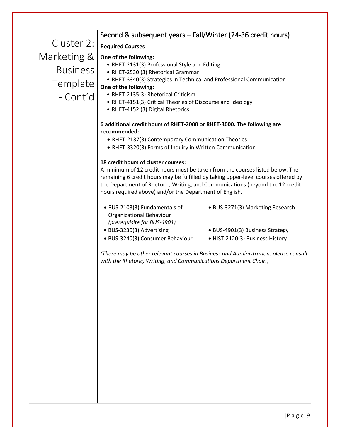# Second & subsequent years – Fall/Winter (24-36 credit hours)

Cluster 2: Marketing & **Business Template** - Cont'd

.

### **Required Courses**

#### **One of the following:**

- RHET-2131(3) Professional Style and Editing
- RHET-2530 (3) Rhetorical Grammar
- RHET-3340(3) Strategies in Technical and Professional Communication

#### **One of the following:**

- RHET-2135(3) Rhetorical Criticism
- RHET-4151(3) Critical Theories of Discourse and Ideology
- RHET-4152 (3) Digital Rhetorics

#### **6 additional credit hours of RHET-2000 or RHET-3000. The following are recommended:**

- RHET-2137(3) Contemporary Communication Theories
- RHET-3320(3) Forms of Inquiry in Written Communication

#### **18 credit hours of cluster courses:**

A minimum of 12 credit hours must be taken from the courses listed below. The remaining 6 credit hours may be fulfilled by taking upper-level courses offered by the Department of Rhetoric, Writing, and Communications (beyond the 12 credit hours required above) and/or the Department of English.

| • BUS-2103(3) Fundamentals of    | • BUS-3271(3) Marketing Research |
|----------------------------------|----------------------------------|
| Organizational Behaviour         |                                  |
| (prerequisite for BUS-4901)      |                                  |
| • BUS-3230(3) Advertising        | • BUS-4901(3) Business Strategy  |
| · BUS-3240(3) Consumer Behaviour | • HIST-2120(3) Business History  |

*(There may be other relevant courses in Business and Administration; please consult with the Rhetoric, Writing, and Communications Department Chair.)*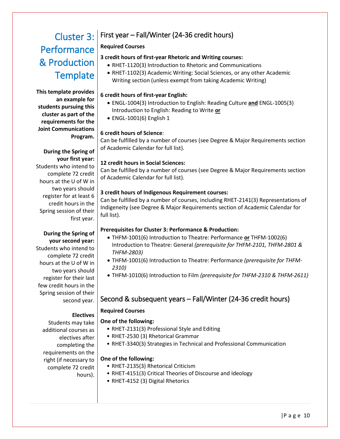# <span id="page-9-0"></span>Cluster 3: **Performance** & Production **Template**

**This template provides an example for students pursuing this cluster as part of the requirements for the Joint Communications Program.**

# **During the Spring of**

**your first year:** Students who intend to complete 72 credit hours at the U of W in two years should register for at least 6 credit hours in the Spring session of their first year.

#### **During the Spring of your second year:**

Students who intend to complete 72 credit hours at the U of W in two years should register for their last few credit hours in the Spring session of their second year.

#### **Electives**

hours).

### **One of the following:**

**Required Courses**

- RHET-2131(3) Professional Style and Editing
- RHET-2530 (3) Rhetorical Grammar
- RHET-3340(3) Strategies in Technical and Professional Communication

#### **One of the following:**

- RHET-2135(3) Rhetorical Criticism
- RHET-4151(3) Critical Theories of Discourse and Ideology
- RHET-4152 (3) Digital Rhetorics

#### **Required Courses**

#### **3 credit hours of first-year Rhetoric and Writing courses:**

First year – Fall/Winter (24-36 credit hours)

- RHET-1120(3) Introduction to Rhetoric and Communications
- RHET-1102(3) Academic Writing: Social Sciences, or any other Academic Writing section (unless exempt from taking Academic Writing)

#### **6 credit hours of first-year English:**

- ENGL-1004(3) Introduction to English: Reading Culture **and** ENGL-1005(3) Introduction to English: Reading to Write **or**
- ENGL-1001(6) English 1

#### **6 credit hours of Science**:

Can be fulfilled by a number of courses (see Degree & Major Requirements section of Academic Calendar for full list).

#### **12 credit hours in Social Sciences:**

Can be fulfilled by a number of courses (see Degree & Major Requirements section of Academic Calendar for full list).

#### **3 credit hours of Indigenous Requirement courses:**

Can be fulfilled by a number of courses, including RHET-2141(3) Representations of Indigeneity (see Degree & Major Requirements section of Academic Calendar for full list).

#### **Prerequisites for Cluster 3: Performance & Production:**

- THFM-1001(6) Introduction to Theatre: Performance **or** THFM-1002(6) Introduction to Theatre: General *(prerequisite for THFM-2101, THFM-2801 & THFM-2803)*
- THFM-1001(6) Introduction to Theatre: Performance *(prerequisite for THFM-2310)*
- THFM-1010(6) Introduction to Film *(prerequisite for THFM-2310 & THFM-2611)*

# Second & subsequent years – Fall/Winter (24-36 credit hours)

- 
- 

# Students may take additional courses as electives after completing the requirements on the

right (if necessary to complete 72 credit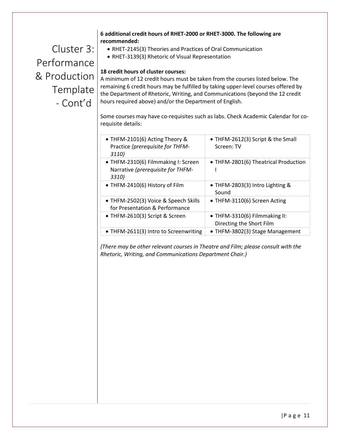#### **6 additional credit hours of RHET-2000 or RHET-3000. The following are recommended:**

Cluster 3: Performance & Production Template - Cont'd

- RHET-2145(3) Theories and Practices of Oral Communication
- RHET-3139(3) Rhetoric of Visual Representation

#### **18 credit hours of cluster courses:**

A minimum of 12 credit hours must be taken from the courses listed below. The remaining 6 credit hours may be fulfilled by taking upper-level courses offered by the Department of Rhetoric, Writing, and Communications (beyond the 12 credit hours required above) and/or the Department of English.

Some courses may have co-requisites such as labs. Check Academic Calendar for corequisite details:

| • THFM-2101(6) Acting Theory &<br>Practice (prerequisite for THFM-<br>3110)       | • THFM-2612(3) Script & the Small<br>Screen: TV           |
|-----------------------------------------------------------------------------------|-----------------------------------------------------------|
| • THFM-2310(6) Filmmaking I: Screen<br>Narrative (prerequisite for THFM-<br>3310) | • THFM-2801(6) Theatrical Production                      |
| • THFM-2410(6) History of Film                                                    | • THFM-2803(3) Intro Lighting &<br>Sound                  |
| • THFM-2502(3) Voice & Speech Skills<br>for Presentation & Performance            | • THFM-3110(6) Screen Acting                              |
| • THFM-2610(3) Script & Screen                                                    | • THFM-3310(6) Filmmaking II:<br>Directing the Short Film |
| • THFM-2611(3) Intro to Screenwriting                                             | • THFM-3802(3) Stage Management                           |

*(There may be other relevant courses in Theatre and Film; please consult with the Rhetoric, Writing, and Communications Department Chair.)*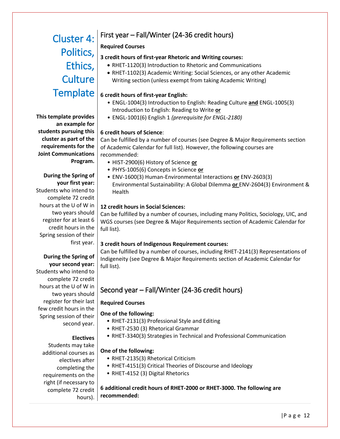# <span id="page-11-0"></span>Cluster 4: Ethics, **Culture Template**

**This template provides an example for students pursuing this cluster as part of the requirements for the Joint Communications Program.**

# **During the Spring of your first year:**

Students who intend to complete 72 credit hours at the U of W in two years should register for at least 6 credit hours in the Spring session of their first year.

#### **During the Spring of your second year:**  Students who intend to complete 72 credit hours at the U of W in two years should register for their last few credit hours in the Spring session of their second year.

#### **Electives**

Students may take additional courses as electives after completing the requirements on the right (if necessary to complete 72 credit hours).

# First year – Fall/Winter (24-36 credit hours)

# **Required Courses**

# Politics,  $\left| \frac{1}{3} \right|$  a credit hours of first-year Rhetoric and Writing courses:

- RHET-1120(3) Introduction to Rhetoric and Communications
- RHET-1102(3) Academic Writing: Social Sciences, or any other Academic Writing section (unless exempt from taking Academic Writing)

# **6 credit hours of first-year English:**

- ENGL-1004(3) Introduction to English: Reading Culture **and** ENGL-1005(3) Introduction to English: Reading to Write **or**
- ENGL-1001(6) English 1 *(prerequisite for ENGL-2180)*

# **6 credit hours of Science**:

Can be fulfilled by a number of courses (see Degree & Major Requirements section of Academic Calendar for full list). However, the following courses are recommended:

- HIST-2900(6) History of Science **or**
- PHYS-1005(6) Concepts in Science **or**
- ENV-1600(3) Human-Environmental Interactions **or** ENV-2603(3) Environmental Sustainability: A Global Dilemma **or** ENV-2604(3) Environment & Health

# **12 credit hours in Social Sciences:**

Can be fulfilled by a number of courses, including many Politics, Sociology, UIC, and WGS courses (see Degree & Major Requirements section of Academic Calendar for full list).

# **3 credit hours of Indigenous Requirement courses:**

Can be fulfilled by a number of courses, including RHET-2141(3) Representations of Indigeneity (see Degree & Major Requirements section of Academic Calendar for full list).

# Second year – Fall/Winter (24-36 credit hours)

# **Required Courses**

# **One of the following:**

- RHET-2131(3) Professional Style and Editing
- RHET-2530 (3) Rhetorical Grammar
- RHET-3340(3) Strategies in Technical and Professional Communication

# **One of the following:**

- RHET-2135(3) Rhetorical Criticism
- RHET-4151(3) Critical Theories of Discourse and Ideology
- RHET-4152 (3) Digital Rhetorics

**6 additional credit hours of RHET-2000 or RHET-3000. The following are recommended:**